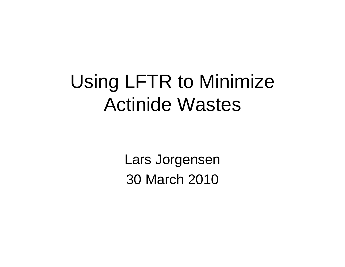## Using LFTR to Minimize Actinide Wastes

Lars Jorgensen 30 March 2010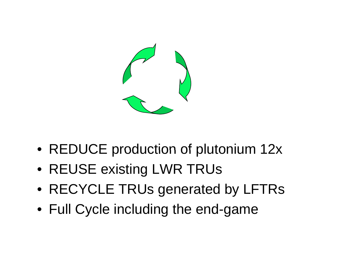

- REDUCE production of plutonium 12x
- REUSE existing LWR TRUs
- RECYCLE TRUs generated by LFTRs
- Full Cycle including the end-game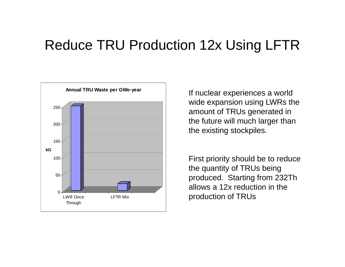#### Reduce TRU Production 12x Using LFTR



If nuclear experiences a world wide expansion using LWRs the the future will much larger than the existing stockpiles.

First priority should be to reduce the quantity of TRUs being allows a 12x reduction in the production of TRUs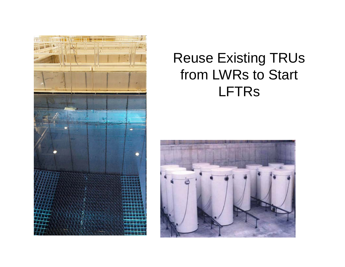

#### Reuse Existing TRUs from LWRs to Start LFTRs

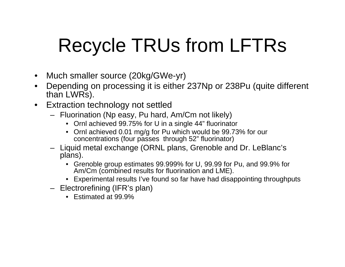# Recycle TRUs from LFTRs

- $\bullet$ Much smaller source (20kg/GWe-yr)
- $\bullet$ • Depending on processing it is either 237Np or 238Pu (quite different than LWRs).
- $\bullet$  Extraction technology not settled
	- Fluorination (Np easy, Pu hard, Am/Cm not likely)
		- Ornl achieved 99.75% for U in a single 44" fluorinator
		- Ornl achieved 0.01 mg/g for Pu which would be 99.73% for our concentrations (four passes through 52" fluorinator)
	- Liquid metal exchange (ORNL plans, Grenoble and Dr. LeBlanc's plans).
		- Grenoble group estimates 99.999% for U, 99.99 for Pu, and 99.9% for Am/Cm (combined results for fluorination and LME).
		- Experimental results I've found so far have had disappointing throughputs
	- Electrorefining (IFR's plan)
		- Estimated at 99.9%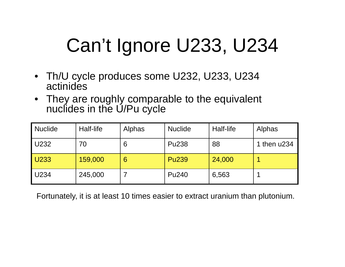# Can't Ignore U233, U234

- Th/U cycle produces some U232, U233, U234 actinides
- They are roughly comparable to the equivalent nuclides in the U/Pu cycle

| <b>Nuclide</b> | Half-life | Alphas | <b>Nuclide</b>    | Half-life | <b>Alphas</b> |
|----------------|-----------|--------|-------------------|-----------|---------------|
| U232           | 70        | 6      | <b>Pu238</b>      | 88        | 1 then u234   |
| U233           | 159,000   | 6      | <b>Pu239</b>      | 24,000    |               |
| U234           | 245,000   |        | Pu <sub>240</sub> | 6,563     |               |

Fortunately, it is at least 10 times easier to extract uranium than plutonium.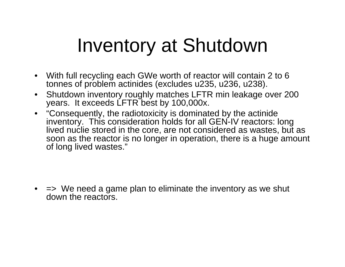#### Inventory at Shutdown

- With full recycling each GWe worth of reactor will contain 2 to 6 tonnes of problem actinides (excludes u235, u236, u238).
- $\bullet$  Shutdown inventory roughly matches LFTR min leakage over 200 years. It exceeds LFTR best by 100,000x.
- "Consequently, the radiotoxicity is dominated by the actinide inventory. This consideration holds for all GEN-IV reactors: long lived nuclie stored in the core, are not considered as wastes, but as soon as the reactor is no longer in operation, there is a huge amount of lon g lived wastes."

• => We need a game plan to eliminate the inventory as we shut down the reactors.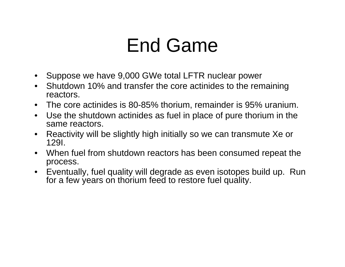### End Game

- Suppose we have 9,000 GWe total LFTR nuclear power
- Shutdown 10% and transfer the core actinides to the remaining reactors.
- The core actinides is 80-85% thorium, remainder is 95% uranium.
- $\bullet$ Use the shutdown actinides as fuel in place of pure thorium in the same reactors.
- $\bullet$  Reactivity will be slightly high initially so we can transmute Xe or 129I.
- When fuel from shutdown reactors has been consumed repeat the process.
- Eventually, fuel quality will degrade as even isotopes build up. Run for a few years on thorium feed to restore fuel quality.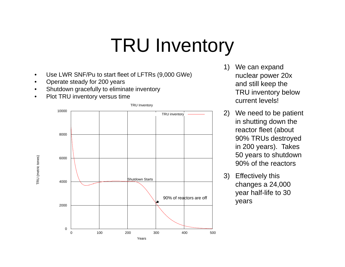### TRU Inventory

- •Use LWR SNF/Pu to start fleet of LFTRs (9,000 GWe)
- •Operate steady for 200 years
- •Shutdown gracefully to eliminate inventory
- •Plot TRU inventory versus time



- 1) We can expand nuclear power 20x e steady for 200 years and still keep the TRU inventory below current levels!
	- 2) We need to be patient in shutting down the reactor fleet (about 90% TRUs destroyed in 200 years). Takes 50 years to shutdown 90% of the reactors
	- 3) Effectively this changes a 24,000 year half-life to 30 years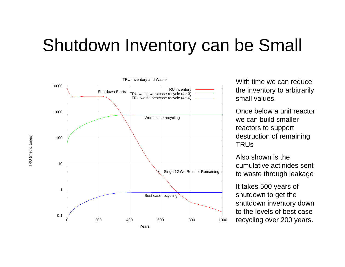#### Shutdown Inventory can be Small



 the inventory to arbitrarily small values.

Once below a unit reactor we can build smaller reactors to support destruction of remaining TRUs

Also shown is the cumulative actinides sent to waste through leakage

lt takes 500 years of shutdown to get the shutdown inventory down to the levels of best case  $^{\circ}$   $\,$  recycling over 200 years.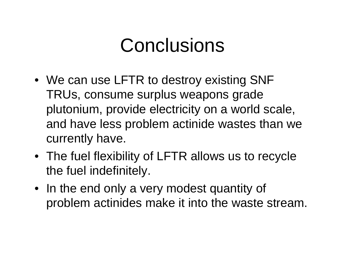#### **Conclusions**

- We can use LFTR to destroy existing SNF TRUs, consume surplus weapons grade plutonium, provide electricity on a world scale, and have less problem actinide wastes than we currently have.
- The fuel flexibility of LFTR allows us to recycle the fuel indefinitely.
- In the end only a very modest quantity of problem actinides make it into the waste stream.